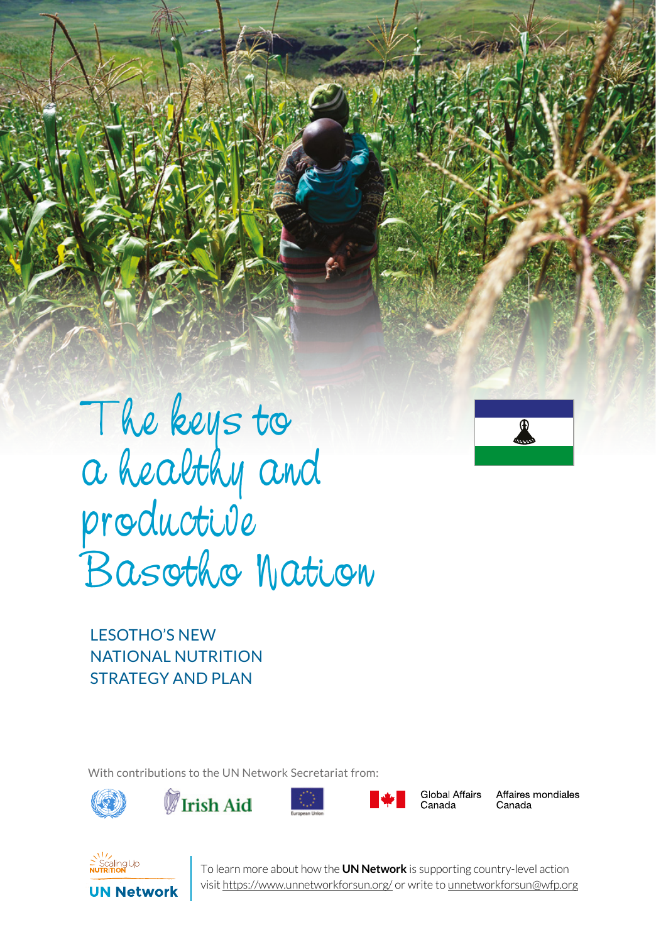

The keys to a healthy and productive Basotho Nation

SERIES 1 UN NETWORK TALES 1 UN NET

LESOTHO'S NEW NATIONAL NUTRITION STRATEGY AND PLAN

With contributions to the UN Network Secretariat from:









Global Affairs Canada

Affaires mondiales Canada



**1** To learn more about how the **UN Network** is supporting country-level action visit https://www.unnetworkforsun.org/ or write to unnetworkforsun@wfp.org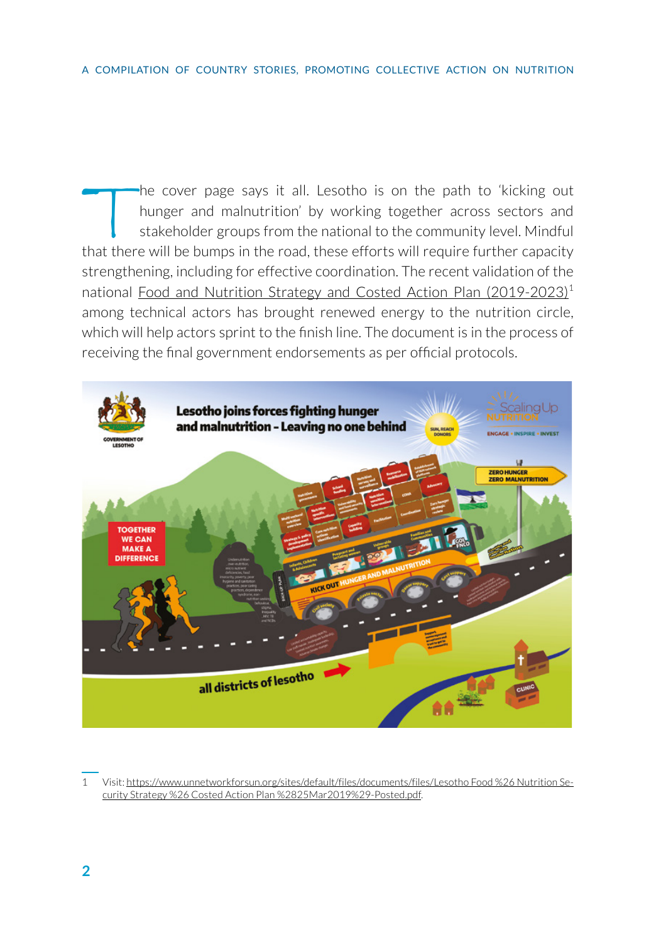The cover page says it all. Lesotho is on the path to 'kicking out<br>hunger and malnutrition' by working together across sectors and<br>stakeholder groups from the national to the community level. Mindful<br>hat there will be burn hunger and malnutrition' by working together across sectors and stakeholder groups from the national to the community level. Mindful that there will be bumps in the road, these efforts will require further capacity strengthening, including for effective coordination. The recent validation of the national [Food and Nutrition Strategy and Costed Action Plan \(2019-2023\)](https://www.unnetworkforsun.org/sites/default/files/documents/files/Lesotho Food %26 Nutrition Security Strategy %26 Costed Action Plan %2825Mar2019%29-Posted.pdf)<sup>1</sup> among technical actors has brought renewed energy to the nutrition circle, which will help actors sprint to the finish line. The document is in the process of receiving the final government endorsements as per official protocols.



<sup>1</sup> Visit: [https://www.unnetworkforsun.org/sites/default/files/documents/files/Lesotho Food %26 Nutrition Se](https://www.unnetworkforsun.org/sites/default/files/documents/files/Lesotho Food %26 Nutrition Security Strategy %26 Costed Action Plan %2825Mar2019%29-Posted.pdf)[curity Strategy %26 Costed Action Plan %2825Mar2019%29-Posted.pdf](https://www.unnetworkforsun.org/sites/default/files/documents/files/Lesotho Food %26 Nutrition Security Strategy %26 Costed Action Plan %2825Mar2019%29-Posted.pdf).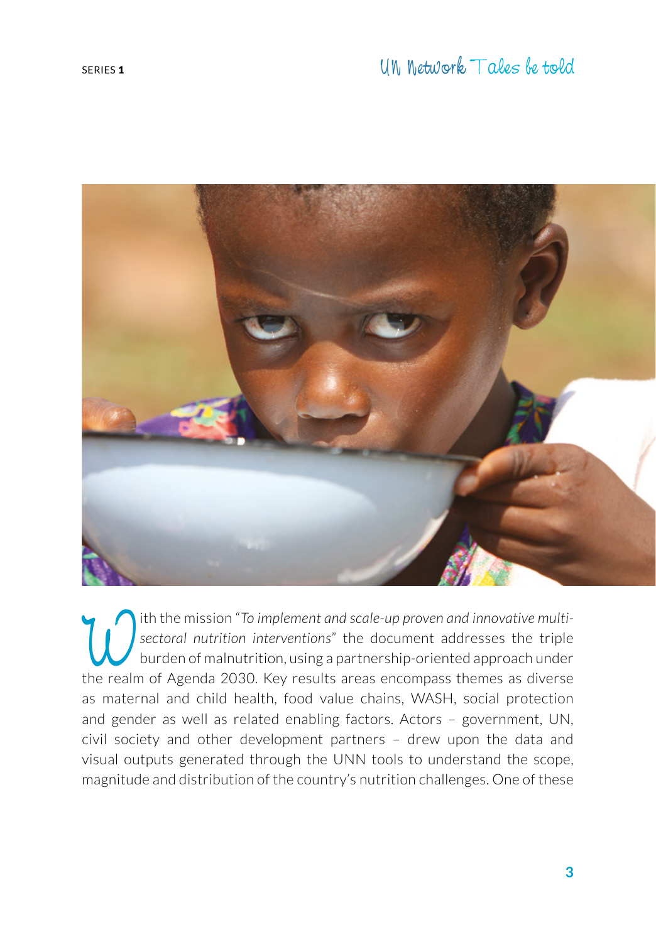

Ith the mission "*To implement and scale-up proven and innovative multi-*<br>sectoral nutrition interventions" the document addresses the triple<br>burden of malnutrition, using a partnership-oriented approach under<br>the realm of *sectoral nutrition interventions*" the document addresses the triple burden of malnutrition, using a partnership-oriented approach under the realm of Agenda 2030. Key results areas encompass themes as diverse as maternal and child health, food value chains, WASH, social protection and gender as well as related enabling factors. Actors – government, UN, civil society and other development partners – drew upon the data and visual outputs generated through the UNN tools to understand the scope, magnitude and distribution of the country's nutrition challenges. One of these